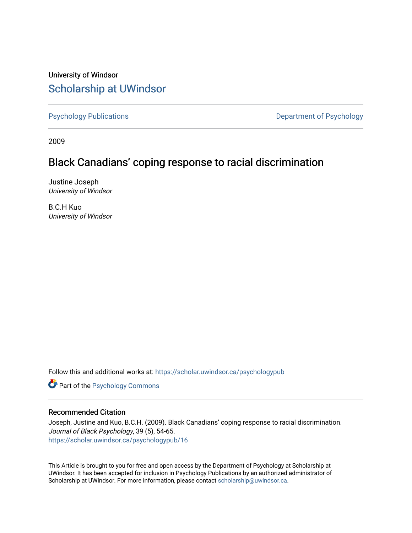University of Windsor [Scholarship at UWindsor](https://scholar.uwindsor.ca/) 

[Psychology Publications](https://scholar.uwindsor.ca/psychologypub) **Department of Psychology** 

2009

# Black Canadians' coping response to racial discrimination

Justine Joseph University of Windsor

B.C.H Kuo University of Windsor

Follow this and additional works at: [https://scholar.uwindsor.ca/psychologypub](https://scholar.uwindsor.ca/psychologypub?utm_source=scholar.uwindsor.ca%2Fpsychologypub%2F16&utm_medium=PDF&utm_campaign=PDFCoverPages) 

**Part of the Psychology Commons** 

## Recommended Citation

Joseph, Justine and Kuo, B.C.H. (2009). Black Canadians' coping response to racial discrimination. Journal of Black Psychology, 39 (5), 54-65. [https://scholar.uwindsor.ca/psychologypub/16](https://scholar.uwindsor.ca/psychologypub/16?utm_source=scholar.uwindsor.ca%2Fpsychologypub%2F16&utm_medium=PDF&utm_campaign=PDFCoverPages)

This Article is brought to you for free and open access by the Department of Psychology at Scholarship at UWindsor. It has been accepted for inclusion in Psychology Publications by an authorized administrator of Scholarship at UWindsor. For more information, please contact [scholarship@uwindsor.ca.](mailto:scholarship@uwindsor.ca)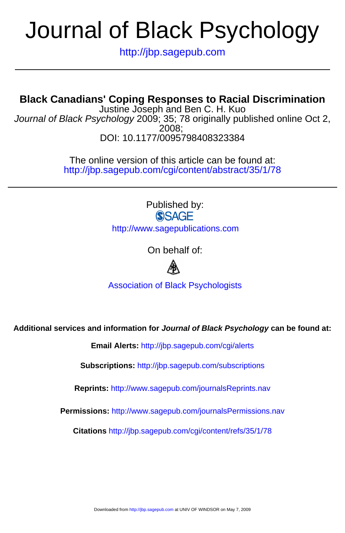# Journal of Black Psychology

http://jbp.sagepub.com

DOI: 10.1177/0095798408323384 2008; Journal of Black Psychology 2009; 35; 78 originally published online Oct 2, Justine Joseph and Ben C. H. Kuo **Black Canadians' Coping Responses to Racial Discrimination**

> http://jbp.sagepub.com/cgi/content/abstract/35/1/78 The online version of this article can be found at:

> > Published by:<br>SAGE http://www.sagepublications.com

> > > On behalf of:



[Association of Black Psychologists](http://www.abpsi.org/)

**Additional services and information for Journal of Black Psychology can be found at:**

**Email Alerts:** <http://jbp.sagepub.com/cgi/alerts>

**Subscriptions:** <http://jbp.sagepub.com/subscriptions>

**Reprints:** <http://www.sagepub.com/journalsReprints.nav>

**Permissions:** <http://www.sagepub.com/journalsPermissions.nav>

**Citations** <http://jbp.sagepub.com/cgi/content/refs/35/1/78>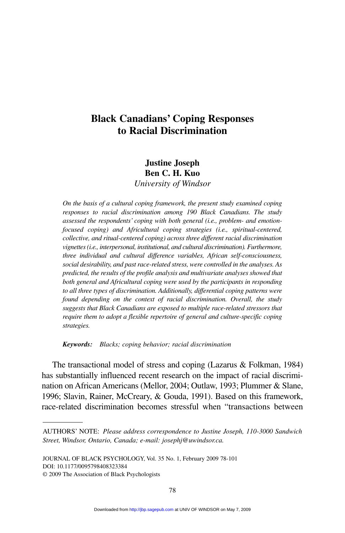# **Black Canadians' Coping Responses to Racial Discrimination**

### **Justine Joseph Ben C. H. Kuo** *University of Windsor*

*On the basis of a cultural coping framework, the present study examined coping responses to racial discrimination among 190 Black Canadians. The study assessed the respondents' coping with both general (i.e., problem- and emotionfocused coping) and Africultural coping strategies (i.e., spiritual-centered, collective, and ritual-centered coping) across three different racial discrimination vignettes (i.e., interpersonal, institutional, and cultural discrimination). Furthermore, three individual and cultural difference variables, African self-consciousness, social desirability, and past race-related stress, were controlled in the analyses. As predicted, the results of the profile analysis and multivariate analyses showed that both general and Africultural coping were used by the participants in responding to all three types of discrimination. Additionally, differential coping patterns were found depending on the context of racial discrimination. Overall, the study suggests that Black Canadians are exposed to multiple race-related stressors that require them to adopt a flexible repertoire of general and culture-specific coping strategies.*

*Keywords: Blacks; coping behavior; racial discrimination*

The transactional model of stress and coping (Lazarus & Folkman, 1984) has substantially influenced recent research on the impact of racial discrimination on African Americans (Mellor, 2004; Outlaw, 1993; Plummer & Slane, 1996; Slavin, Rainer, McCreary, & Gouda, 1991). Based on this framework, race-related discrimination becomes stressful when "transactions between

JOURNAL OF BLACK PSYCHOLOGY, Vol. 35 No. 1, February 2009 78-101 DOI: 10.1177/0095798408323384 © 2009 The Association of Black Psychologists

AUTHORS' NOTE: *Please address correspondence to Justine Joseph, 110-3000 Sandwich Street, Windsor, Ontario, Canada; e-mail: josephj@uwindsor.ca.*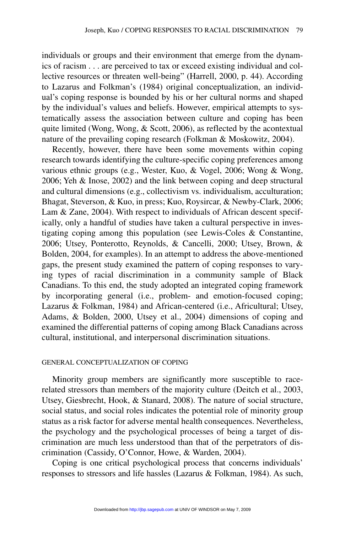individuals or groups and their environment that emerge from the dynamics of racism . . . are perceived to tax or exceed existing individual and collective resources or threaten well-being" (Harrell, 2000, p. 44). According to Lazarus and Folkman's (1984) original conceptualization, an individual's coping response is bounded by his or her cultural norms and shaped by the individual's values and beliefs. However, empirical attempts to systematically assess the association between culture and coping has been quite limited (Wong, Wong,  $\&$  Scott, 2006), as reflected by the acontextual nature of the prevailing coping research (Folkman & Moskowitz, 2004).

Recently, however, there have been some movements within coping research towards identifying the culture-specific coping preferences among various ethnic groups (e.g., Wester, Kuo, & Vogel, 2006; Wong & Wong, 2006; Yeh & Inose, 2002) and the link between coping and deep structural and cultural dimensions (e.g., collectivism vs. individualism, acculturation; Bhagat, Steverson, & Kuo, in press; Kuo, Roysircar, & Newby-Clark, 2006; Lam & Zane, 2004). With respect to individuals of African descent specifically, only a handful of studies have taken a cultural perspective in investigating coping among this population (see Lewis-Coles & Constantine, 2006; Utsey, Ponterotto, Reynolds, & Cancelli, 2000; Utsey, Brown, & Bolden, 2004, for examples). In an attempt to address the above-mentioned gaps, the present study examined the pattern of coping responses to varying types of racial discrimination in a community sample of Black Canadians. To this end, the study adopted an integrated coping framework by incorporating general (i.e., problem- and emotion-focused coping; Lazarus & Folkman, 1984) and African-centered (i.e., Africultural; Utsey, Adams, & Bolden, 2000, Utsey et al., 2004) dimensions of coping and examined the differential patterns of coping among Black Canadians across cultural, institutional, and interpersonal discrimination situations.

#### GENERAL CONCEPTUALIZATION OF COPING

Minority group members are significantly more susceptible to racerelated stressors than members of the majority culture (Deitch et al., 2003, Utsey, Giesbrecht, Hook, & Stanard, 2008). The nature of social structure, social status, and social roles indicates the potential role of minority group status as a risk factor for adverse mental health consequences. Nevertheless, the psychology and the psychological processes of being a target of discrimination are much less understood than that of the perpetrators of discrimination (Cassidy, O'Connor, Howe, & Warden, 2004).

Coping is one critical psychological process that concerns individuals' responses to stressors and life hassles (Lazarus & Folkman, 1984). As such,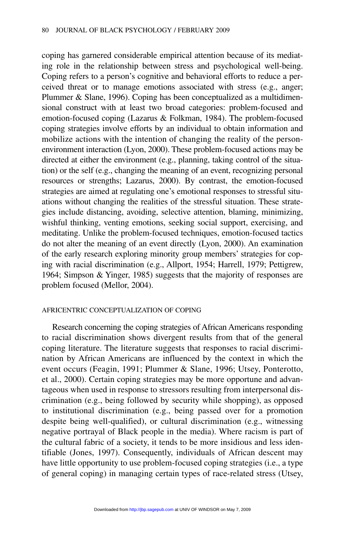coping has garnered considerable empirical attention because of its mediating role in the relationship between stress and psychological well-being. Coping refers to a person's cognitive and behavioral efforts to reduce a perceived threat or to manage emotions associated with stress (e.g., anger; Plummer & Slane, 1996). Coping has been conceptualized as a multidimensional construct with at least two broad categories: problem-focused and emotion-focused coping (Lazarus & Folkman, 1984). The problem-focused coping strategies involve efforts by an individual to obtain information and mobilize actions with the intention of changing the reality of the personenvironment interaction (Lyon, 2000). These problem-focused actions may be directed at either the environment (e.g., planning, taking control of the situation) or the self (e.g., changing the meaning of an event, recognizing personal resources or strengths; Lazarus, 2000). By contrast, the emotion-focused strategies are aimed at regulating one's emotional responses to stressful situations without changing the realities of the stressful situation. These strategies include distancing, avoiding, selective attention, blaming, minimizing, wishful thinking, venting emotions, seeking social support, exercising, and meditating. Unlike the problem-focused techniques, emotion-focused tactics do not alter the meaning of an event directly (Lyon, 2000). An examination of the early research exploring minority group members' strategies for coping with racial discrimination (e.g., Allport, 1954; Harrell, 1979; Pettigrew, 1964; Simpson & Yinger, 1985) suggests that the majority of responses are problem focused (Mellor, 2004).

#### AFRICENTRIC CONCEPTUALIZATION OF COPING

Research concerning the coping strategies of African Americans responding to racial discrimination shows divergent results from that of the general coping literature. The literature suggests that responses to racial discrimination by African Americans are influenced by the context in which the event occurs (Feagin, 1991; Plummer & Slane, 1996; Utsey, Ponterotto, et al., 2000). Certain coping strategies may be more opportune and advantageous when used in response to stressors resulting from interpersonal discrimination (e.g., being followed by security while shopping), as opposed to institutional discrimination (e.g., being passed over for a promotion despite being well-qualified), or cultural discrimination (e.g., witnessing negative portrayal of Black people in the media). Where racism is part of the cultural fabric of a society, it tends to be more insidious and less identifiable (Jones, 1997). Consequently, individuals of African descent may have little opportunity to use problem-focused coping strategies (i.e., a type of general coping) in managing certain types of race-related stress (Utsey,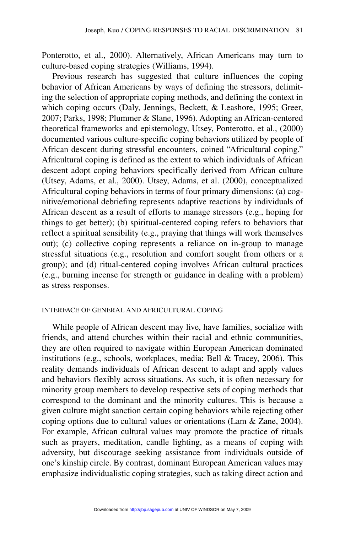Ponterotto, et al., 2000). Alternatively, African Americans may turn to culture-based coping strategies (Williams, 1994).

Previous research has suggested that culture influences the coping behavior of African Americans by ways of defining the stressors, delimiting the selection of appropriate coping methods, and defining the context in which coping occurs (Daly, Jennings, Beckett, & Leashore, 1995; Greer, 2007; Parks, 1998; Plummer & Slane, 1996). Adopting an African-centered theoretical frameworks and epistemology, Utsey, Ponterotto, et al., (2000) documented various culture-specific coping behaviors utilized by people of African descent during stressful encounters, coined "Africultural coping." Africultural coping is defined as the extent to which individuals of African descent adopt coping behaviors specifically derived from African culture (Utsey, Adams, et al., 2000). Utsey, Adams, et al. (2000), conceptualized Africultural coping behaviors in terms of four primary dimensions: (a) cognitive/emotional debriefing represents adaptive reactions by individuals of African descent as a result of efforts to manage stressors (e.g., hoping for things to get better); (b) spiritual-centered coping refers to behaviors that reflect a spiritual sensibility (e.g., praying that things will work themselves out); (c) collective coping represents a reliance on in-group to manage stressful situations (e.g., resolution and comfort sought from others or a group); and (d) ritual-centered coping involves African cultural practices (e.g., burning incense for strength or guidance in dealing with a problem) as stress responses.

#### INTERFACE OF GENERAL AND AFRICULTURAL COPING

While people of African descent may live, have families, socialize with friends, and attend churches within their racial and ethnic communities, they are often required to navigate within European American dominated institutions (e.g., schools, workplaces, media; Bell & Tracey, 2006). This reality demands individuals of African descent to adapt and apply values and behaviors flexibly across situations. As such, it is often necessary for minority group members to develop respective sets of coping methods that correspond to the dominant and the minority cultures. This is because a given culture might sanction certain coping behaviors while rejecting other coping options due to cultural values or orientations (Lam & Zane, 2004). For example, African cultural values may promote the practice of rituals such as prayers, meditation, candle lighting, as a means of coping with adversity, but discourage seeking assistance from individuals outside of one's kinship circle. By contrast, dominant European American values may emphasize individualistic coping strategies, such as taking direct action and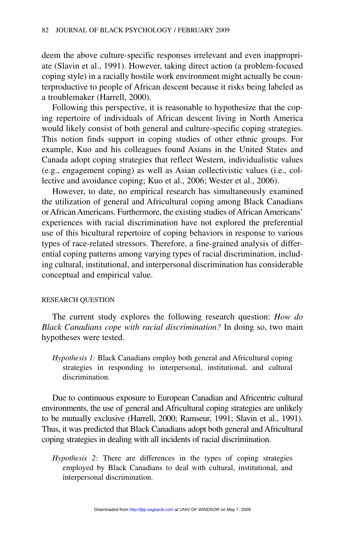deem the above culture-specific responses irrelevant and even inappropriate (Slavin et al., 1991). However, taking direct action (a problem-focused coping style) in a racially hostile work environment might actually be counterproductive to people of African descent because it risks being labeled as a troublemaker (Harrell, 2000).

Following this perspective, it is reasonable to hypothesize that the coping repertoire of individuals of African descent living in North America would likely consist of both general and culture-specific coping strategies. This notion finds support in coping studies of other ethnic groups. For example, Kuo and his colleagues found Asians in the United States and Canada adopt coping strategies that reflect Western, individualistic values (e.g., engagement coping) as well as Asian collectivistic values (i.e., collective and avoidance coping; Kuo et al., 2006; Wester et al., 2006).

However, to date, no empirical research has simultaneously examined the utilization of general and Africultural coping among Black Canadians or African Americans. Furthermore, the existing studies of African Americans' experiences with racial discrimination have not explored the preferential use of this bicultural repertoire of coping behaviors in response to various types of race-related stressors. Therefore, a fine-grained analysis of differential coping patterns among varying types of racial discrimination, including cultural, institutional, and interpersonal discrimination has considerable conceptual and empirical value.

#### RESEARCH QUESTION

The current study explores the following research question: *How do Black Canadians cope with racial discrimination?* In doing so, two main hypotheses were tested.

*Hypothesis 1:* Black Canadians employ both general and Africultural coping strategies in responding to interpersonal, institutional, and cultural discrimination.

Due to continuous exposure to European Canadian and Africentric cultural environments, the use of general and Africultural coping strategies are unlikely to be mutually exclusive (Harrell, 2000; Ramseur, 1991; Slavin et al., 1991). Thus, it was predicted that Black Canadians adopt both general and Africultural coping strategies in dealing with all incidents of racial discrimination.

*Hypothesis 2:* There are differences in the types of coping strategies employed by Black Canadians to deal with cultural, institutional, and interpersonal discrimination.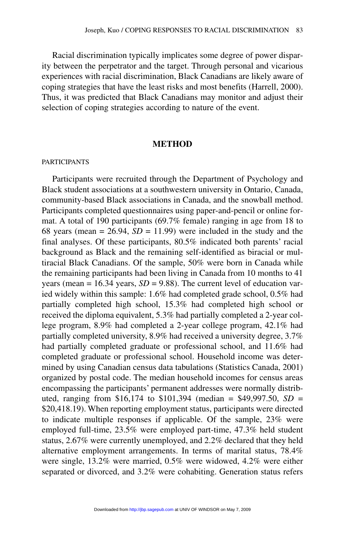Racial discrimination typically implicates some degree of power disparity between the perpetrator and the target. Through personal and vicarious experiences with racial discrimination, Black Canadians are likely aware of coping strategies that have the least risks and most benefits (Harrell, 2000). Thus, it was predicted that Black Canadians may monitor and adjust their selection of coping strategies according to nature of the event.

#### **METHOD**

#### PARTICIPANTS

Participants were recruited through the Department of Psychology and Black student associations at a southwestern university in Ontario, Canada, community-based Black associations in Canada, and the snowball method. Participants completed questionnaires using paper-and-pencil or online format. A total of 190 participants (69.7% female) ranging in age from 18 to 68 years (mean =  $26.94$ ,  $SD = 11.99$ ) were included in the study and the final analyses. Of these participants, 80.5% indicated both parents' racial background as Black and the remaining self-identified as biracial or multiracial Black Canadians. Of the sample, 50% were born in Canada while the remaining participants had been living in Canada from 10 months to 41 years (mean  $= 16.34$  years,  $SD = 9.88$ ). The current level of education varied widely within this sample: 1.6% had completed grade school, 0.5% had partially completed high school, 15.3% had completed high school or received the diploma equivalent, 5.3% had partially completed a 2-year college program, 8.9% had completed a 2-year college program, 42.1% had partially completed university, 8.9% had received a university degree, 3.7% had partially completed graduate or professional school, and 11.6% had completed graduate or professional school. Household income was determined by using Canadian census data tabulations (Statistics Canada, 2001) organized by postal code. The median household incomes for census areas encompassing the participants' permanent addresses were normally distributed, ranging from \$16,174 to \$101,394 (median = \$49,997.50, *SD* = \$20,418.19). When reporting employment status, participants were directed to indicate multiple responses if applicable. Of the sample, 23% were employed full-time, 23.5% were employed part-time, 47.3% held student status, 2.67% were currently unemployed, and 2.2% declared that they held alternative employment arrangements. In terms of marital status, 78.4% were single, 13.2% were married, 0.5% were widowed, 4.2% were either separated or divorced, and 3.2% were cohabiting. Generation status refers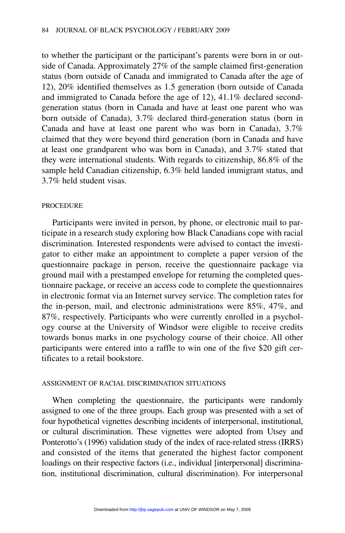to whether the participant or the participant's parents were born in or outside of Canada. Approximately 27% of the sample claimed first-generation status (born outside of Canada and immigrated to Canada after the age of 12), 20% identified themselves as 1.5 generation (born outside of Canada and immigrated to Canada before the age of 12), 41.1% declared secondgeneration status (born in Canada and have at least one parent who was born outside of Canada), 3.7% declared third-generation status (born in Canada and have at least one parent who was born in Canada), 3.7% claimed that they were beyond third generation (born in Canada and have at least one grandparent who was born in Canada), and 3.7% stated that they were international students. With regards to citizenship, 86.8% of the sample held Canadian citizenship, 6.3% held landed immigrant status, and 3.7% held student visas.

#### PROCEDURE

Participants were invited in person, by phone, or electronic mail to participate in a research study exploring how Black Canadians cope with racial discrimination. Interested respondents were advised to contact the investigator to either make an appointment to complete a paper version of the questionnaire package in person, receive the questionnaire package via ground mail with a prestamped envelope for returning the completed questionnaire package, or receive an access code to complete the questionnaires in electronic format via an Internet survey service. The completion rates for the in-person, mail, and electronic administrations were 85%, 47%, and 87%, respectively. Participants who were currently enrolled in a psychology course at the University of Windsor were eligible to receive credits towards bonus marks in one psychology course of their choice. All other participants were entered into a raffle to win one of the five \$20 gift certificates to a retail bookstore.

#### ASSIGNMENT OF RACIAL DISCRIMINATION SITUATIONS

When completing the questionnaire, the participants were randomly assigned to one of the three groups. Each group was presented with a set of four hypothetical vignettes describing incidents of interpersonal, institutional, or cultural discrimination. These vignettes were adopted from Utsey and Ponterotto's (1996) validation study of the index of race-related stress (IRRS) and consisted of the items that generated the highest factor component loadings on their respective factors (i.e., individual [interpersonal] discrimination, institutional discrimination, cultural discrimination). For interpersonal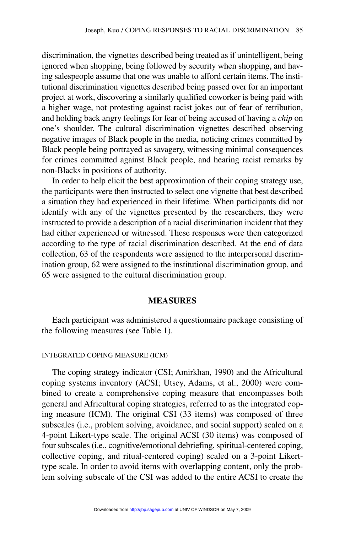discrimination, the vignettes described being treated as if unintelligent, being ignored when shopping, being followed by security when shopping, and having salespeople assume that one was unable to afford certain items. The institutional discrimination vignettes described being passed over for an important project at work, discovering a similarly qualified coworker is being paid with a higher wage, not protesting against racist jokes out of fear of retribution, and holding back angry feelings for fear of being accused of having a *chip* on one's shoulder. The cultural discrimination vignettes described observing negative images of Black people in the media, noticing crimes committed by Black people being portrayed as savagery, witnessing minimal consequences for crimes committed against Black people, and hearing racist remarks by non-Blacks in positions of authority.

In order to help elicit the best approximation of their coping strategy use, the participants were then instructed to select one vignette that best described a situation they had experienced in their lifetime. When participants did not identify with any of the vignettes presented by the researchers, they were instructed to provide a description of a racial discrimination incident that they had either experienced or witnessed. These responses were then categorized according to the type of racial discrimination described. At the end of data collection, 63 of the respondents were assigned to the interpersonal discrimination group, 62 were assigned to the institutional discrimination group, and 65 were assigned to the cultural discrimination group.

#### **MEASURES**

Each participant was administered a questionnaire package consisting of the following measures (see Table 1).

#### INTEGRATED COPING MEASURE (ICM)

The coping strategy indicator (CSI; Amirkhan, 1990) and the Africultural coping systems inventory (ACSI; Utsey, Adams, et al., 2000) were combined to create a comprehensive coping measure that encompasses both general and Africultural coping strategies, referred to as the integrated coping measure (ICM). The original CSI (33 items) was composed of three subscales (i.e., problem solving, avoidance, and social support) scaled on a 4-point Likert-type scale. The original ACSI (30 items) was composed of four subscales (i.e., cognitive/emotional debriefing, spiritual-centered coping, collective coping, and ritual-centered coping) scaled on a 3-point Likerttype scale. In order to avoid items with overlapping content, only the problem solving subscale of the CSI was added to the entire ACSI to create the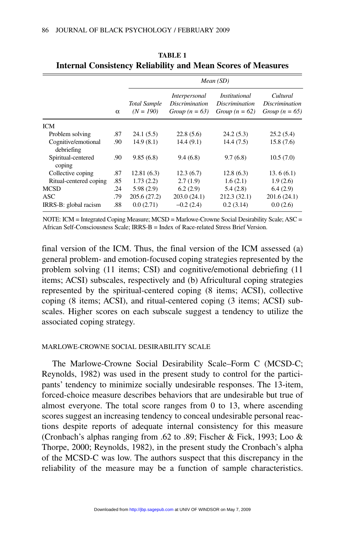|                                   |          | Mean(SD)                           |                                                            |                                                                   |                                                       |  |
|-----------------------------------|----------|------------------------------------|------------------------------------------------------------|-------------------------------------------------------------------|-------------------------------------------------------|--|
|                                   | $\alpha$ | <b>Total Sample</b><br>$(N = 190)$ | Interpersonal<br><i>Discrimination</i><br>Group $(n = 63)$ | <i>Institutional</i><br><i>Discrimination</i><br>Group $(n = 62)$ | Cultural<br><i>Discrimination</i><br>Group $(n = 65)$ |  |
| <b>ICM</b>                        |          |                                    |                                                            |                                                                   |                                                       |  |
| Problem solving                   | .87      | 24.1(5.5)                          | 22.8(5.6)                                                  | 24.2(5.3)                                                         | 25.2(5.4)                                             |  |
| Cognitive/emotional<br>debriefing | .90      | 14.9(8.1)                          | 14.4(9.1)                                                  | 14.4(7.5)                                                         | 15.8(7.6)                                             |  |
| Spiritual-centered<br>coping      | .90      | 9.85(6.8)                          | 9.4(6.8)                                                   | 9.7(6.8)                                                          | 10.5(7.0)                                             |  |
| Collective coping                 | .87      | 12.81(6.3)                         | 12.3(6.7)                                                  | 12.8(6.3)                                                         | 13.6(6.1)                                             |  |
| Ritual-centered coping            | .85      | 1.73(2.2)                          | 2.7(1.9)                                                   | 1.6(2.1)                                                          | 1.9(2.6)                                              |  |
| <b>MCSD</b>                       | .24      | 5.98(2.9)                          | 6.2(2.9)                                                   | 5.4(2.8)                                                          | 6.4(2.9)                                              |  |
| ASC                               | .79      | 205.6 (27.2)                       | 203.0(24.1)                                                | 212.3(32.1)                                                       | 201.6(24.1)                                           |  |
| IRRS-B: global racism             | .88      | 0.0(2.71)                          | $-0.2(2.4)$                                                | 0.2(3.14)                                                         | 0.0(2.6)                                              |  |

**TABLE 1 Internal Consistency Reliability and Mean Scores of Measures**

NOTE: ICM = Integrated Coping Measure; MCSD = Marlowe-Crowne Social Desirability Scale; ASC = African Self-Consciousness Scale; IRRS-B = Index of Race-related Stress Brief Version.

final version of the ICM. Thus, the final version of the ICM assessed (a) general problem- and emotion-focused coping strategies represented by the problem solving (11 items; CSI) and cognitive/emotional debriefing (11 items; ACSI) subscales, respectively and (b) Africultural coping strategies represented by the spiritual-centered coping (8 items; ACSI), collective coping (8 items; ACSI), and ritual-centered coping (3 items; ACSI) subscales. Higher scores on each subscale suggest a tendency to utilize the associated coping strategy.

#### MARLOWE-CROWNE SOCIAL DESIRABILITY SCALE

The Marlowe-Crowne Social Desirability Scale–Form C (MCSD-C; Reynolds, 1982) was used in the present study to control for the participants' tendency to minimize socially undesirable responses. The 13-item, forced-choice measure describes behaviors that are undesirable but true of almost everyone. The total score ranges from 0 to 13, where ascending scores suggest an increasing tendency to conceal undesirable personal reactions despite reports of adequate internal consistency for this measure (Cronbach's alphas ranging from .62 to .89; Fischer & Fick, 1993; Loo & Thorpe, 2000; Reynolds, 1982), in the present study the Cronbach's alpha of the MCSD-C was low. The authors suspect that this discrepancy in the reliability of the measure may be a function of sample characteristics.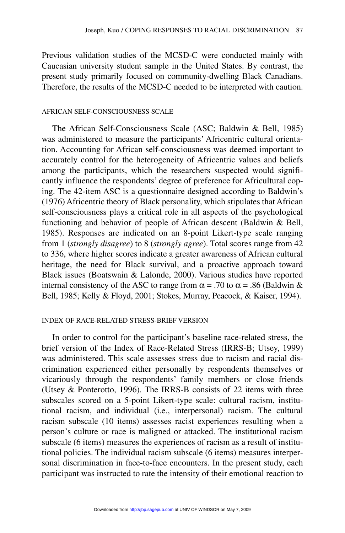Previous validation studies of the MCSD-C were conducted mainly with Caucasian university student sample in the United States. By contrast, the present study primarily focused on community-dwelling Black Canadians. Therefore, the results of the MCSD-C needed to be interpreted with caution.

#### AFRICAN SELF-CONSCIOUSNESS SCALE

The African Self-Consciousness Scale (ASC; Baldwin & Bell, 1985) was administered to measure the participants' Africentric cultural orientation. Accounting for African self-consciousness was deemed important to accurately control for the heterogeneity of Africentric values and beliefs among the participants, which the researchers suspected would significantly influence the respondents' degree of preference for Africultural coping. The 42-item ASC is a questionnaire designed according to Baldwin's (1976) Africentric theory of Black personality, which stipulates that African self-consciousness plays a critical role in all aspects of the psychological functioning and behavior of people of African descent (Baldwin & Bell, 1985). Responses are indicated on an 8-point Likert-type scale ranging from 1 (*strongly disagree*) to 8 (*strongly agree*). Total scores range from 42 to 336, where higher scores indicate a greater awareness of African cultural heritage, the need for Black survival, and a proactive approach toward Black issues (Boatswain & Lalonde, 2000). Various studies have reported internal consistency of the ASC to range from  $\alpha$  = .70 to  $\alpha$  = .86 (Baldwin & Bell, 1985; Kelly & Floyd, 2001; Stokes, Murray, Peacock, & Kaiser, 1994).

#### INDEX OF RACE-RELATED STRESS-BRIEF VERSION

In order to control for the participant's baseline race-related stress, the brief version of the Index of Race-Related Stress (IRRS-B; Utsey, 1999) was administered. This scale assesses stress due to racism and racial discrimination experienced either personally by respondents themselves or vicariously through the respondents' family members or close friends (Utsey & Ponterotto, 1996). The IRRS-B consists of 22 items with three subscales scored on a 5-point Likert-type scale: cultural racism, institutional racism, and individual (i.e., interpersonal) racism. The cultural racism subscale (10 items) assesses racist experiences resulting when a person's culture or race is maligned or attacked. The institutional racism subscale (6 items) measures the experiences of racism as a result of institutional policies. The individual racism subscale (6 items) measures interpersonal discrimination in face-to-face encounters. In the present study, each participant was instructed to rate the intensity of their emotional reaction to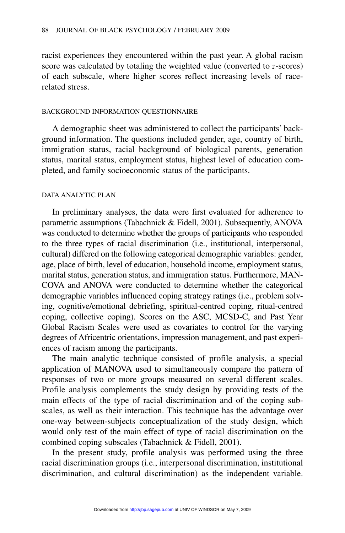racist experiences they encountered within the past year. A global racism score was calculated by totaling the weighted value (converted to *z*-scores) of each subscale, where higher scores reflect increasing levels of racerelated stress.

#### BACKGROUND INFORMATION QUESTIONNAIRE

A demographic sheet was administered to collect the participants' background information. The questions included gender, age, country of birth, immigration status, racial background of biological parents, generation status, marital status, employment status, highest level of education completed, and family socioeconomic status of the participants.

#### DATA ANALYTIC PLAN

In preliminary analyses, the data were first evaluated for adherence to parametric assumptions (Tabachnick & Fidell, 2001). Subsequently, ANOVA was conducted to determine whether the groups of participants who responded to the three types of racial discrimination (i.e., institutional, interpersonal, cultural) differed on the following categorical demographic variables: gender, age, place of birth, level of education, household income, employment status, marital status, generation status, and immigration status. Furthermore, MAN-COVA and ANOVA were conducted to determine whether the categorical demographic variables influenced coping strategy ratings (i.e., problem solving, cognitive/emotional debriefing, spiritual-centred coping, ritual-centred coping, collective coping). Scores on the ASC, MCSD-C, and Past Year Global Racism Scales were used as covariates to control for the varying degrees of Africentric orientations, impression management, and past experiences of racism among the participants.

The main analytic technique consisted of profile analysis, a special application of MANOVA used to simultaneously compare the pattern of responses of two or more groups measured on several different scales. Profile analysis complements the study design by providing tests of the main effects of the type of racial discrimination and of the coping subscales, as well as their interaction. This technique has the advantage over one-way between-subjects conceptualization of the study design, which would only test of the main effect of type of racial discrimination on the combined coping subscales (Tabachnick & Fidell, 2001).

In the present study, profile analysis was performed using the three racial discrimination groups (i.e., interpersonal discrimination, institutional discrimination, and cultural discrimination) as the independent variable.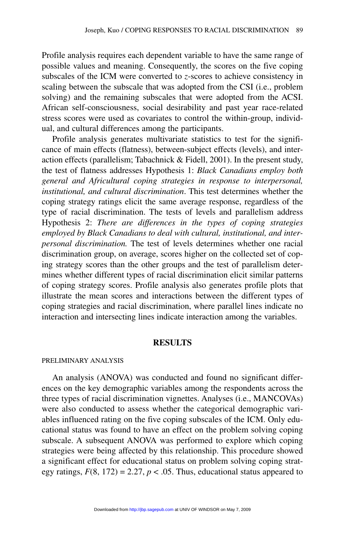Profile analysis requires each dependent variable to have the same range of possible values and meaning. Consequently, the scores on the five coping subscales of the ICM were converted to *z*-scores to achieve consistency in scaling between the subscale that was adopted from the CSI (i.e., problem solving) and the remaining subscales that were adopted from the ACSI. African self-consciousness, social desirability and past year race-related stress scores were used as covariates to control the within-group, individual, and cultural differences among the participants.

Profile analysis generates multivariate statistics to test for the significance of main effects (flatness), between-subject effects (levels), and interaction effects (parallelism; Tabachnick & Fidell, 2001). In the present study, the test of flatness addresses Hypothesis 1: *Black Canadians employ both general and Africultural coping strategies in response to interpersonal, institutional, and cultural discrimination*. This test determines whether the coping strategy ratings elicit the same average response, regardless of the type of racial discrimination. The tests of levels and parallelism address Hypothesis 2: *There are differences in the types of coping strategies employed by Black Canadians to deal with cultural, institutional, and interpersonal discrimination.* The test of levels determines whether one racial discrimination group, on average, scores higher on the collected set of coping strategy scores than the other groups and the test of parallelism determines whether different types of racial discrimination elicit similar patterns of coping strategy scores. Profile analysis also generates profile plots that illustrate the mean scores and interactions between the different types of coping strategies and racial discrimination, where parallel lines indicate no interaction and intersecting lines indicate interaction among the variables.

#### **RESULTS**

#### PRELIMINARY ANALYSIS

An analysis (ANOVA) was conducted and found no significant differences on the key demographic variables among the respondents across the three types of racial discrimination vignettes. Analyses (i.e., MANCOVAs) were also conducted to assess whether the categorical demographic variables influenced rating on the five coping subscales of the ICM. Only educational status was found to have an effect on the problem solving coping subscale. A subsequent ANOVA was performed to explore which coping strategies were being affected by this relationship. This procedure showed a significant effect for educational status on problem solving coping strategy ratings,  $F(8, 172) = 2.27$ ,  $p < .05$ . Thus, educational status appeared to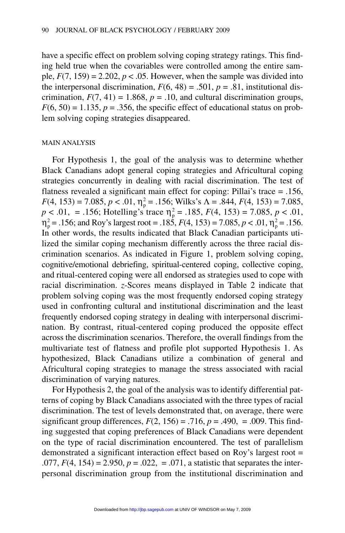have a specific effect on problem solving coping strategy ratings. This finding held true when the covariables were controlled among the entire sample,  $F(7, 159) = 2.202$ ,  $p < .05$ . However, when the sample was divided into the interpersonal discrimination,  $F(6, 48) = .501$ ,  $p = .81$ , institutional discrimination,  $F(7, 41) = 1.868$ ,  $p = .10$ , and cultural discrimination groups,  $F(6, 50) = 1.135$ ,  $p = .356$ , the specific effect of educational status on problem solving coping strategies disappeared.

#### MAIN ANALYSIS

For Hypothesis 1, the goal of the analysis was to determine whether Black Canadians adopt general coping strategies and Africultural coping strategies concurrently in dealing with racial discrimination. The test of flatness revealed a significant main effect for coping: Pillai's trace = .156,  $F(4, 153) = 7.085, p < .01, \eta_p^2 = .156$ ; Wilks's  $\Lambda = .844, F(4, 153) = 7.085$ ,  $p < .01$ , = .156; Hotelling's trace  $\eta_p^2 = .185$ ,  $F(4, 153) = 7.085$ ,  $p < .01$ ,  $\eta_p^2$  = .156; and Roy's largest root = .185,  $F(4, 153)$  = 7.085,  $p < .01$ ,  $\eta_p^2$  = .156. In other words, the results indicated that Black Canadian participants utilized the similar coping mechanism differently across the three racial discrimination scenarios. As indicated in Figure 1, problem solving coping, cognitive/emotional debriefing, spiritual-centered coping, collective coping, and ritual-centered coping were all endorsed as strategies used to cope with racial discrimination. *z*-Scores means displayed in Table 2 indicate that problem solving coping was the most frequently endorsed coping strategy used in confronting cultural and institutional discrimination and the least frequently endorsed coping strategy in dealing with interpersonal discrimination. By contrast, ritual-centered coping produced the opposite effect across the discrimination scenarios. Therefore, the overall findings from the multivariate test of flatness and profile plot supported Hypothesis 1. As hypothesized, Black Canadians utilize a combination of general and Africultural coping strategies to manage the stress associated with racial discrimination of varying natures.

For Hypothesis 2, the goal of the analysis was to identify differential patterns of coping by Black Canadians associated with the three types of racial discrimination. The test of levels demonstrated that, on average, there were significant group differences,  $F(2, 156) = .716$ ,  $p = .490$ , = .009. This finding suggested that coping preferences of Black Canadians were dependent on the type of racial discrimination encountered. The test of parallelism demonstrated a significant interaction effect based on Roy's largest root = .077,  $F(4, 154) = 2.950$ ,  $p = .022$ , = .071, a statistic that separates the interpersonal discrimination group from the institutional discrimination and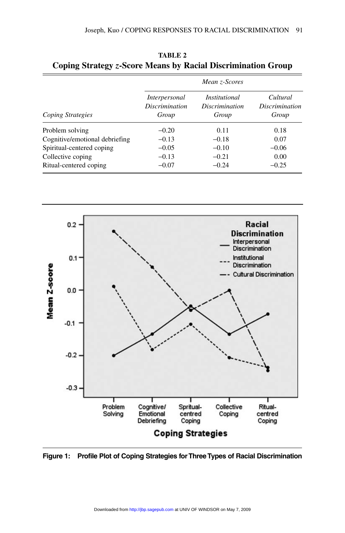|                                | Mean z-Scores                                   |                                                        |                                            |  |  |
|--------------------------------|-------------------------------------------------|--------------------------------------------------------|--------------------------------------------|--|--|
| Coping Strategies              | Interpersonal<br><i>Discrimination</i><br>Group | <i>Institutional</i><br><i>Discrimination</i><br>Group | Cultural<br><i>Discrimination</i><br>Group |  |  |
| Problem solving                | $-0.20$                                         | 0.11                                                   | 0.18                                       |  |  |
| Cognitive/emotional debriefing | $-0.13$                                         | $-0.18$                                                | 0.07                                       |  |  |
| Spiritual-centered coping      | $-0.05$                                         | $-0.10$                                                | $-0.06$                                    |  |  |
| Collective coping              | $-0.13$                                         | $-0.21$                                                | 0.00                                       |  |  |
| Ritual-centered coping         | $-0.07$                                         | $-0.24$                                                | $-0.25$                                    |  |  |

**TABLE 2 Coping Strategy** *z***-Score Means by Racial Discrimination Group**



**Figure 1: Profile Plot of Coping Strategies for Three Types of Racial Discrimination**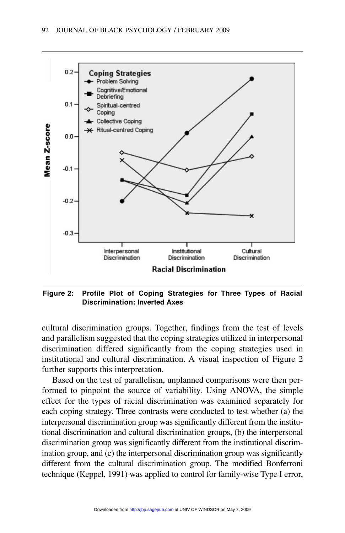

**Figure 2: Profile Plot of Coping Strategies for Three Types of Racial Discrimination: Inverted Axes**

cultural discrimination groups. Together, findings from the test of levels and parallelism suggested that the coping strategies utilized in interpersonal discrimination differed significantly from the coping strategies used in institutional and cultural discrimination. A visual inspection of Figure 2 further supports this interpretation.

Based on the test of parallelism, unplanned comparisons were then performed to pinpoint the source of variability. Using ANOVA, the simple effect for the types of racial discrimination was examined separately for each coping strategy. Three contrasts were conducted to test whether (a) the interpersonal discrimination group was significantly different from the institutional discrimination and cultural discrimination groups, (b) the interpersonal discrimination group was significantly different from the institutional discrimination group, and (c) the interpersonal discrimination group was significantly different from the cultural discrimination group. The modified Bonferroni technique (Keppel, 1991) was applied to control for family-wise Type I error,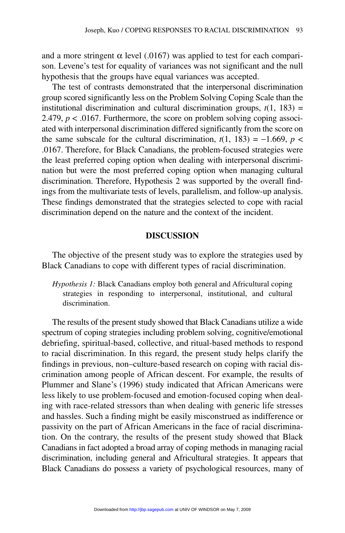and a more stringent  $\alpha$  level (.0167) was applied to test for each comparison. Levene's test for equality of variances was not significant and the null hypothesis that the groups have equal variances was accepted.

The test of contrasts demonstrated that the interpersonal discrimination group scored significantly less on the Problem Solving Coping Scale than the institutional discrimination and cultural discrimination groups,  $t(1, 183) =$ 2.479,  $p < .0167$ . Furthermore, the score on problem solving coping associated with interpersonal discrimination differed significantly from the score on the same subscale for the cultural discrimination,  $t(1, 183) = -1.669$ ,  $p <$ .0167. Therefore, for Black Canadians, the problem-focused strategies were the least preferred coping option when dealing with interpersonal discrimination but were the most preferred coping option when managing cultural discrimination. Therefore, Hypothesis 2 was supported by the overall findings from the multivariate tests of levels, parallelism, and follow-up analysis. These findings demonstrated that the strategies selected to cope with racial discrimination depend on the nature and the context of the incident.

#### **DISCUSSION**

The objective of the present study was to explore the strategies used by Black Canadians to cope with different types of racial discrimination.

*Hypothesis 1:* Black Canadians employ both general and Africultural coping strategies in responding to interpersonal, institutional, and cultural discrimination.

The results of the present study showed that Black Canadians utilize a wide spectrum of coping strategies including problem solving, cognitive/emotional debriefing, spiritual-based, collective, and ritual-based methods to respond to racial discrimination. In this regard, the present study helps clarify the findings in previous, non–culture-based research on coping with racial discrimination among people of African descent. For example, the results of Plummer and Slane's (1996) study indicated that African Americans were less likely to use problem-focused and emotion-focused coping when dealing with race-related stressors than when dealing with generic life stresses and hassles. Such a finding might be easily misconstrued as indifference or passivity on the part of African Americans in the face of racial discrimination. On the contrary, the results of the present study showed that Black Canadians in fact adopted a broad array of coping methods in managing racial discrimination, including general and Africultural strategies. It appears that Black Canadians do possess a variety of psychological resources, many of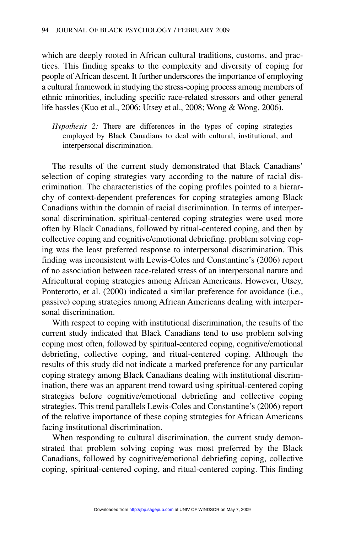which are deeply rooted in African cultural traditions, customs, and practices. This finding speaks to the complexity and diversity of coping for people of African descent. It further underscores the importance of employing a cultural framework in studying the stress-coping process among members of ethnic minorities, including specific race-related stressors and other general life hassles (Kuo et al., 2006; Utsey et al., 2008; Wong & Wong, 2006).

*Hypothesis 2:* There are differences in the types of coping strategies employed by Black Canadians to deal with cultural, institutional, and interpersonal discrimination.

The results of the current study demonstrated that Black Canadians' selection of coping strategies vary according to the nature of racial discrimination. The characteristics of the coping profiles pointed to a hierarchy of context-dependent preferences for coping strategies among Black Canadians within the domain of racial discrimination. In terms of interpersonal discrimination, spiritual-centered coping strategies were used more often by Black Canadians, followed by ritual-centered coping, and then by collective coping and cognitive/emotional debriefing. problem solving coping was the least preferred response to interpersonal discrimination. This finding was inconsistent with Lewis-Coles and Constantine's (2006) report of no association between race-related stress of an interpersonal nature and Africultural coping strategies among African Americans. However, Utsey, Ponterotto, et al. (2000) indicated a similar preference for avoidance (i.e., passive) coping strategies among African Americans dealing with interpersonal discrimination.

With respect to coping with institutional discrimination, the results of the current study indicated that Black Canadians tend to use problem solving coping most often, followed by spiritual-centered coping, cognitive/emotional debriefing, collective coping, and ritual-centered coping. Although the results of this study did not indicate a marked preference for any particular coping strategy among Black Canadians dealing with institutional discrimination, there was an apparent trend toward using spiritual-centered coping strategies before cognitive/emotional debriefing and collective coping strategies. This trend parallels Lewis-Coles and Constantine's (2006) report of the relative importance of these coping strategies for African Americans facing institutional discrimination.

When responding to cultural discrimination, the current study demonstrated that problem solving coping was most preferred by the Black Canadians, followed by cognitive/emotional debriefing coping, collective coping, spiritual-centered coping, and ritual-centered coping. This finding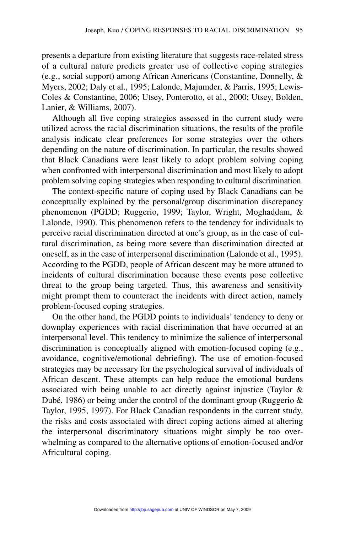presents a departure from existing literature that suggests race-related stress of a cultural nature predicts greater use of collective coping strategies (e.g., social support) among African Americans (Constantine, Donnelly, & Myers, 2002; Daly et al., 1995; Lalonde, Majumder, & Parris, 1995; Lewis-Coles & Constantine, 2006; Utsey, Ponterotto, et al., 2000; Utsey, Bolden, Lanier, & Williams, 2007).

Although all five coping strategies assessed in the current study were utilized across the racial discrimination situations, the results of the profile analysis indicate clear preferences for some strategies over the others depending on the nature of discrimination. In particular, the results showed that Black Canadians were least likely to adopt problem solving coping when confronted with interpersonal discrimination and most likely to adopt problem solving coping strategies when responding to cultural discrimination.

The context-specific nature of coping used by Black Canadians can be conceptually explained by the personal/group discrimination discrepancy phenomenon (PGDD; Ruggerio, 1999; Taylor, Wright, Moghaddam, & Lalonde, 1990). This phenomenon refers to the tendency for individuals to perceive racial discrimination directed at one's group, as in the case of cultural discrimination, as being more severe than discrimination directed at oneself, as in the case of interpersonal discrimination (Lalonde et al., 1995). According to the PGDD, people of African descent may be more attuned to incidents of cultural discrimination because these events pose collective threat to the group being targeted. Thus, this awareness and sensitivity might prompt them to counteract the incidents with direct action, namely problem-focused coping strategies.

On the other hand, the PGDD points to individuals' tendency to deny or downplay experiences with racial discrimination that have occurred at an interpersonal level. This tendency to minimize the salience of interpersonal discrimination is conceptually aligned with emotion-focused coping (e.g., avoidance, cognitive/emotional debriefing). The use of emotion-focused strategies may be necessary for the psychological survival of individuals of African descent. These attempts can help reduce the emotional burdens associated with being unable to act directly against injustice (Taylor & Dubé, 1986) or being under the control of the dominant group (Ruggerio  $\&$ Taylor, 1995, 1997). For Black Canadian respondents in the current study, the risks and costs associated with direct coping actions aimed at altering the interpersonal discriminatory situations might simply be too overwhelming as compared to the alternative options of emotion-focused and/or Africultural coping.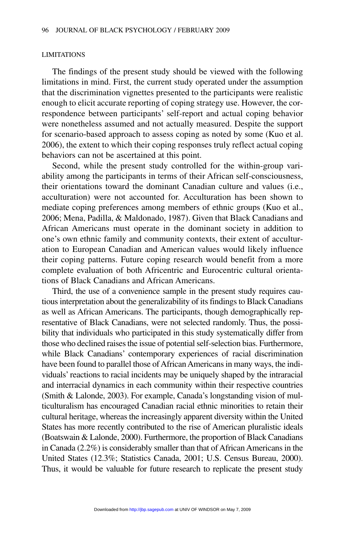#### LIMITATIONS

The findings of the present study should be viewed with the following limitations in mind. First, the current study operated under the assumption that the discrimination vignettes presented to the participants were realistic enough to elicit accurate reporting of coping strategy use. However, the correspondence between participants' self-report and actual coping behavior were nonetheless assumed and not actually measured. Despite the support for scenario-based approach to assess coping as noted by some (Kuo et al. 2006), the extent to which their coping responses truly reflect actual coping behaviors can not be ascertained at this point.

Second, while the present study controlled for the within-group variability among the participants in terms of their African self-consciousness, their orientations toward the dominant Canadian culture and values (i.e., acculturation) were not accounted for. Acculturation has been shown to mediate coping preferences among members of ethnic groups (Kuo et al., 2006; Mena, Padilla, & Maldonado, 1987). Given that Black Canadians and African Americans must operate in the dominant society in addition to one's own ethnic family and community contexts, their extent of acculturation to European Canadian and American values would likely influence their coping patterns. Future coping research would benefit from a more complete evaluation of both Africentric and Eurocentric cultural orientations of Black Canadians and African Americans.

Third, the use of a convenience sample in the present study requires cautious interpretation about the generalizability of its findings to Black Canadians as well as African Americans. The participants, though demographically representative of Black Canadians, were not selected randomly. Thus, the possibility that individuals who participated in this study systematically differ from those who declined raises the issue of potential self-selection bias. Furthermore, while Black Canadians' contemporary experiences of racial discrimination have been found to parallel those of African Americans in many ways, the individuals' reactions to racial incidents may be uniquely shaped by the intraracial and interracial dynamics in each community within their respective countries (Smith & Lalonde, 2003). For example, Canada's longstanding vision of multiculturalism has encouraged Canadian racial ethnic minorities to retain their cultural heritage, whereas the increasingly apparent diversity within the United States has more recently contributed to the rise of American pluralistic ideals (Boatswain & Lalonde, 2000). Furthermore, the proportion of Black Canadians in Canada (2.2%) is considerably smaller than that of African Americans in the United States (12.3%; Statistics Canada, 2001; U.S. Census Bureau, 2000). Thus, it would be valuable for future research to replicate the present study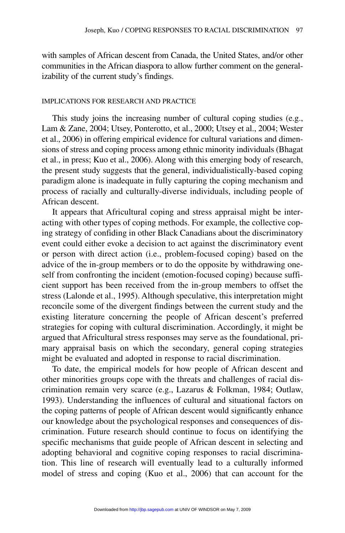with samples of African descent from Canada, the United States, and/or other communities in the African diaspora to allow further comment on the generalizability of the current study's findings.

#### IMPLICATIONS FOR RESEARCH AND PRACTICE

This study joins the increasing number of cultural coping studies (e.g., Lam & Zane, 2004; Utsey, Ponterotto, et al., 2000; Utsey et al., 2004; Wester et al., 2006) in offering empirical evidence for cultural variations and dimensions of stress and coping process among ethnic minority individuals (Bhagat et al., in press; Kuo et al., 2006). Along with this emerging body of research, the present study suggests that the general, individualistically-based coping paradigm alone is inadequate in fully capturing the coping mechanism and process of racially and culturally-diverse individuals, including people of African descent.

It appears that Africultural coping and stress appraisal might be interacting with other types of coping methods. For example, the collective coping strategy of confiding in other Black Canadians about the discriminatory event could either evoke a decision to act against the discriminatory event or person with direct action (i.e., problem-focused coping) based on the advice of the in-group members or to do the opposite by withdrawing oneself from confronting the incident (emotion-focused coping) because sufficient support has been received from the in-group members to offset the stress (Lalonde et al., 1995). Although speculative, this interpretation might reconcile some of the divergent findings between the current study and the existing literature concerning the people of African descent's preferred strategies for coping with cultural discrimination. Accordingly, it might be argued that Africultural stress responses may serve as the foundational, primary appraisal basis on which the secondary, general coping strategies might be evaluated and adopted in response to racial discrimination.

To date, the empirical models for how people of African descent and other minorities groups cope with the threats and challenges of racial discrimination remain very scarce (e.g., Lazarus & Folkman, 1984; Outlaw, 1993). Understanding the influences of cultural and situational factors on the coping patterns of people of African descent would significantly enhance our knowledge about the psychological responses and consequences of discrimination. Future research should continue to focus on identifying the specific mechanisms that guide people of African descent in selecting and adopting behavioral and cognitive coping responses to racial discrimination. This line of research will eventually lead to a culturally informed model of stress and coping (Kuo et al., 2006) that can account for the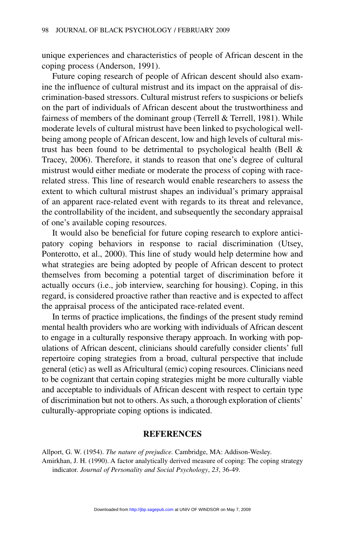unique experiences and characteristics of people of African descent in the coping process (Anderson, 1991).

Future coping research of people of African descent should also examine the influence of cultural mistrust and its impact on the appraisal of discrimination-based stressors. Cultural mistrust refers to suspicions or beliefs on the part of individuals of African descent about the trustworthiness and fairness of members of the dominant group (Terrell & Terrell, 1981). While moderate levels of cultural mistrust have been linked to psychological wellbeing among people of African descent, low and high levels of cultural mistrust has been found to be detrimental to psychological health (Bell & Tracey, 2006). Therefore, it stands to reason that one's degree of cultural mistrust would either mediate or moderate the process of coping with racerelated stress. This line of research would enable researchers to assess the extent to which cultural mistrust shapes an individual's primary appraisal of an apparent race-related event with regards to its threat and relevance, the controllability of the incident, and subsequently the secondary appraisal of one's available coping resources.

It would also be beneficial for future coping research to explore anticipatory coping behaviors in response to racial discrimination (Utsey, Ponterotto, et al., 2000). This line of study would help determine how and what strategies are being adopted by people of African descent to protect themselves from becoming a potential target of discrimination before it actually occurs (i.e., job interview, searching for housing). Coping, in this regard, is considered proactive rather than reactive and is expected to affect the appraisal process of the anticipated race-related event.

In terms of practice implications, the findings of the present study remind mental health providers who are working with individuals of African descent to engage in a culturally responsive therapy approach. In working with populations of African descent, clinicians should carefully consider clients' full repertoire coping strategies from a broad, cultural perspective that include general (etic) as well as Africultural (emic) coping resources. Clinicians need to be cognizant that certain coping strategies might be more culturally viable and acceptable to individuals of African descent with respect to certain type of discrimination but not to others. As such, a thorough exploration of clients' culturally-appropriate coping options is indicated.

#### **REFERENCES**

Allport, G. W. (1954). *The nature of prejudice.* Cambridge, MA: Addison-Wesley. Amirkhan, J. H. (1990). A factor analytically derived measure of coping: The coping strategy indicator. *Journal of Personality and Social Psychology*, *23*, 36-49.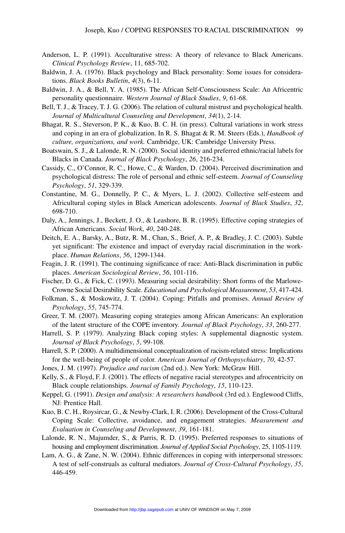- Anderson, L. P. (1991). Acculturative stress: A theory of relevance to Black Americans. *Clinical Psychology Review*, 11, 685-702.
- Baldwin, J. A. (1976). Black psychology and Black personality: Some issues for considerations. *Black Books Bulletin*, *4*(3), 6-11.
- Baldwin, J. A., & Bell, Y. A. (1985). The African Self-Consciousness Scale: An Africentric personality questionnaire. *Western Journal of Black Studies*, *9*, 61-68.
- Bell, T. J., & Tracey, T. J. G. (2006). The relation of cultural mistrust and psychological health. *Journal of Multicultural Counseling and Development*, *34*(1), 2-14.
- Bhagat, R. S., Steverson, P. K., & Kuo, B. C. H. (in press). Cultural variations in work stress and coping in an era of globalization. In R. S. Bhagat & R. M. Steers (Eds.), *Handbook of culture, organizations, and work.* Cambridge, UK: Cambridge University Press.
- Boatswain, S. J., & Lalonde, R. N. (2000). Social identity and preferred ethnic/racial labels for Blacks in Canada. *Journal of Black Psychology*, *26*, 216-234.
- Cassidy, C., O'Connor, R. C., Howe, C., & Warden, D. (2004). Perceived discrimination and psychological distress: The role of personal and ethnic self-esteem. *Journal of Counseling Psychology*, *51*, 329-339.
- Constantine, M. G., Donnelly, P. C., & Myers, L. J. (2002). Collective self-esteem and Africultural coping styles in Black American adolescents. *Journal of Black Studies*, *32*, 698-710.
- Daly, A., Jennings, J., Beckett, J. O., & Leashore, B. R. (1995). Effective coping strategies of African Americans. *Social Work*, *40*, 240-248.
- Deitch, E. A., Barsky, A., Butz, R. M., Chan, S., Brief, A. P., & Bradley, J. C. (2003). Subtle yet significant: The existence and impact of everyday racial discrimination in the workplace. *Human Relations*, *56*, 1299-1344.
- Feagin, J. R. (1991). The continuing significance of race: Anti-Black discrimination in public places. *American Sociological Review*, *56*, 101-116.
- Fischer, D. G., & Fick, C. (1993). Measuring social desirability: Short forms of the Marlowe-Crowne Social Desirability Scale. *Educational and Psychological Measurement*, *53*, 417-424.
- Folkman, S., & Moskowitz, J. T. (2004). Coping: Pitfalls and promises. *Annual Review of Psychology*, *55*, 745-774.
- Greer, T. M. (2007). Measuring coping strategies among African Americans: An exploration of the latent structure of the COPE inventory. *Journal of Black Psychology*, *33*, 260-277.
- Harrell, S. P. (1979). Analyzing Black coping styles: A supplemental diagnostic system. *Journal of Black Psychology*, *5*, 99-108.
- Harrell, S. P. (2000). A multidimensional conceptualization of racism-related stress: Implications for the well-being of people of color. *American Journal of Orthopsychiatry*, *70*, 42-57.
- Jones, J. M. (1997). *Prejudice and racism* (2nd ed.). New York: McGraw Hill.
- Kelly, S., & Floyd, F. J. (2001). The effects of negative racial stereotypes and afrocentricity on Black couple relationships. *Journal of Family Psychology*, *15*, 110-123.
- Keppel, G. (1991). *Design and analysis: A researchers handbook* (3rd ed.). Englewood Cliffs, NJ: Prentice Hall.
- Kuo, B. C. H., Roysircar, G., & Newby-Clark, I. R. (2006). Development of the Cross-Cultural Coping Scale: Collective, avoidance, and engagement strategies. *Measurement and Evaluation in Counseling and Development*, *39*, 161-181.
- Lalonde, R. N., Majumder, S., & Parris, R. D. (1995). Preferred responses to situations of housing and employment discrimination. *Journal of Applied Social Psychology*, 25, 1105-1119.
- Lam, A. G., & Zane, N. W. (2004). Ethnic differences in coping with interpersonal stressors: A test of self-construals as cultural mediators. *Journal of Cross-Cultural Psychology*, *35*, 446-459.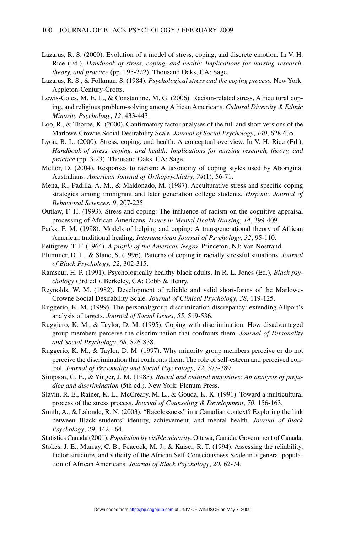- Lazarus, R. S. (2000). Evolution of a model of stress, coping, and discrete emotion. In V. H. Rice (Ed.), *Handbook of stress, coping, and health: Implications for nursing research, theory, and practice* (pp. 195-222). Thousand Oaks, CA: Sage.
- Lazarus, R. S., & Folkman, S. (1984). *Psychological stress and the coping process.* New York: Appleton-Century-Crofts.
- Lewis-Coles, M. E. L., & Constantine, M. G. (2006). Racism-related stress, Africultural coping, and religious problem-solving among African Americans. *Cultural Diversity & Ethnic Minority Psychology*, *12*, 433-443.
- Loo, R., & Thorpe, K. (2000). Confirmatory factor analyses of the full and short versions of the Marlowe-Crowne Social Desirability Scale. *Journal of Social Psychology*, *140*, 628-635.
- Lyon, B. L. (2000). Stress, coping, and health: A conceptual overview. In V. H. Rice (Ed.), *Handbook of stress, coping, and health: Implications for nursing research, theory, and practice* (pp. 3-23). Thousand Oaks, CA: Sage.
- Mellor, D. (2004). Responses to racism: A taxonomy of coping styles used by Aboriginal Australians. *American Journal of Orthopsychiatry*, *74*(1), 56-71.
- Mena, R., Padilla, A. M., & Maldonado, M. (1987). Acculturative stress and specific coping strategies among immigrant and later generation college students. *Hispanic Journal of Behavioral Sciences*, *9*, 207-225.
- Outlaw, F. H. (1993). Stress and coping: The influence of racism on the cognitive appraisal processing of African-Americans. *Issues in Mental Health Nursing*, *14*, 399-409.
- Parks, F. M. (1998). Models of helping and coping: A transgenerational theory of African American traditional healing. *Interamerican Journal of Psychology*, *32*, 95-110.
- Pettigrew, T. F. (1964). *A profile of the American Negro.* Princeton, NJ: Van Nostrand.
- Plummer, D. L., & Slane, S. (1996). Patterns of coping in racially stressful situations. *Journal of Black Psychology*, *22*, 302-315.
- Ramseur, H. P. (1991). Psychologically healthy black adults. In R. L. Jones (Ed.), *Black psychology* (3rd ed.). Berkeley, CA: Cobb & Henry.
- Reynolds, W. M. (1982). Development of reliable and valid short-forms of the Marlowe-Crowne Social Desirability Scale. *Journal of Clinical Psychology*, *38*, 119-125.
- Ruggerio, K. M. (1999). The personal/group discrimination discrepancy: extending Allport's analysis of targets. *Journal of Social Issues*, *55*, 519-536.
- Ruggiero, K. M., & Taylor, D. M. (1995). Coping with discrimination: How disadvantaged group members perceive the discrimination that confronts them. *Journal of Personality and Social Psychology*, *68*, 826-838.
- Ruggerio, K. M., & Taylor, D. M. (1997). Why minority group members perceive or do not perceive the discrimination that confronts them: The role of self-esteem and perceived control. *Journal of Personality and Social Psychology*, *72*, 373-389.
- Simpson, G. E., & Yinger, J. M. (1985). *Racial and cultural minorities: An analysis of prejudice and discrimination* (5th ed.). New York: Plenum Press.
- Slavin, R. E., Rainer, K. L., McCreary, M. L., & Gouda, K. K. (1991). Toward a multicultural process of the stress process. *Journal of Counseling & Development*, *70*, 156-163.
- Smith, A., & Lalonde, R. N. (2003). "Racelessness" in a Canadian context? Exploring the link between Black students' identity, achievement, and mental health. *Journal of Black Psychology*, *29*, 142-164.
- Statistics Canada (2001). *Population by visible minority*. Ottawa, Canada: Government of Canada.
- Stokes, J. E., Murray, C. B., Peacock, M. J., & Kaiser, R. T. (1994). Assessing the reliability, factor structure, and validity of the African Self-Consciousness Scale in a general population of African Americans. *Journal of Black Psychology*, *20*, 62-74.